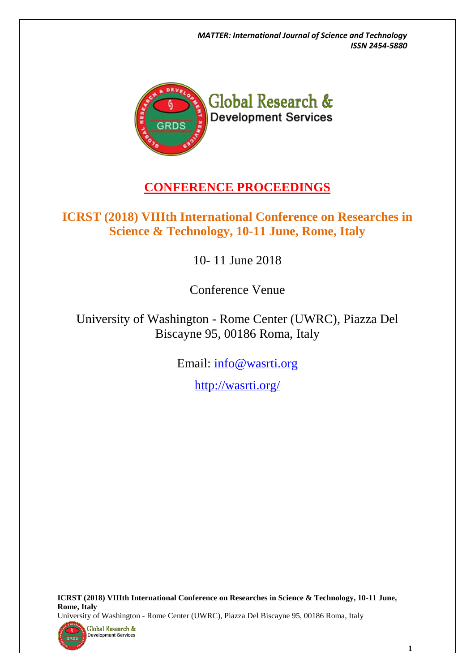*MATTER: International Journal of Science and Technology ISSN 2454-5880*



## **CONFERENCE PROCEEDINGS**

### **ICRST (2018) VIIIth International Conference on Researches in Science & Technology, 10-11 June, Rome, Italy**

10- 11 June 2018

Conference Venue

University of Washington - Rome Center (UWRC), Piazza Del Biscayne 95, 00186 Roma, Italy

Email: [info@wasrti.org](file://///SERVER/grdsnew/CONFERENCES/0%20CONFERENCES/1806%20Rome%20June/4.%20Engineering%2010-11%20June%202018/List%20of%20Applicants/info@wasrti.org)

<http://wasrti.org/>

**ICRST (2018) VIIIth International Conference on Researches in Science & Technology, 10-11 June, Rome, Italy**  University of Washington - Rome Center (UWRC), Piazza Del Biscayne 95, 00186 Roma, Italy



**1**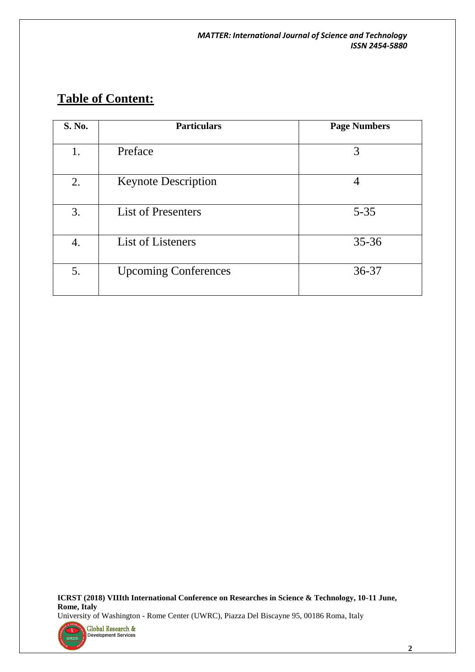# **Table of Content:**

| S. No. | <b>Particulars</b>          | <b>Page Numbers</b> |
|--------|-----------------------------|---------------------|
| 1.     | Preface                     | 3                   |
| 2.     | <b>Keynote Description</b>  | 4                   |
| 3.     | <b>List of Presenters</b>   | $5 - 35$            |
| 4.     | List of Listeners           | $35 - 36$           |
| 5.     | <b>Upcoming Conferences</b> | 36-37               |

**ICRST (2018) VIIIth International Conference on Researches in Science & Technology, 10-11 June, Rome, Italy**  University of Washington - Rome Center (UWRC), Piazza Del Biscayne 95, 00186 Roma, Italy



 **2**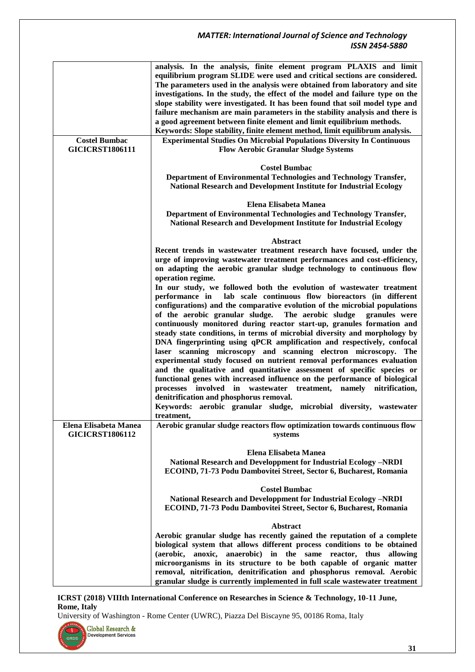|                        | analysis. In the analysis, finite element program PLAXIS and limit                                                                                           |
|------------------------|--------------------------------------------------------------------------------------------------------------------------------------------------------------|
|                        | equilibrium program SLIDE were used and critical sections are considered.                                                                                    |
|                        | The parameters used in the analysis were obtained from laboratory and site                                                                                   |
|                        | investigations. In the study, the effect of the model and failure type on the                                                                                |
|                        | slope stability were investigated. It has been found that soil model type and                                                                                |
|                        | failure mechanism are main parameters in the stability analysis and there is                                                                                 |
|                        | a good agreement between finite element and limit equilibrium methods.                                                                                       |
| <b>Costel Bumbac</b>   | Keywords: Slope stability, finite element method, limit equilibrum analysis.<br><b>Experimental Studies On Microbial Populations Diversity In Continuous</b> |
| <b>GICICRST1806111</b> | <b>Flow Aerobic Granular Sludge Systems</b>                                                                                                                  |
|                        |                                                                                                                                                              |
|                        | <b>Costel Bumbac</b>                                                                                                                                         |
|                        | Department of Environmental Technologies and Technology Transfer,                                                                                            |
|                        | National Research and Development Institute for Industrial Ecology                                                                                           |
|                        |                                                                                                                                                              |
|                        | Elena Elisabeta Manea                                                                                                                                        |
|                        | Department of Environmental Technologies and Technology Transfer,                                                                                            |
|                        | National Research and Development Institute for Industrial Ecology                                                                                           |
|                        |                                                                                                                                                              |
|                        | <b>Abstract</b><br>Recent trends in wastewater treatment research have focused, under the                                                                    |
|                        | urge of improving wastewater treatment performances and cost-efficiency,                                                                                     |
|                        | on adapting the aerobic granular sludge technology to continuous flow                                                                                        |
|                        | operation regime.                                                                                                                                            |
|                        | In our study, we followed both the evolution of wastewater treatment                                                                                         |
|                        | lab scale continuous flow bioreactors (in different<br>performance in                                                                                        |
|                        | configurations) and the comparative evolution of the microbial populations                                                                                   |
|                        | of the aerobic granular sludge. The aerobic sludge<br>granules were                                                                                          |
|                        | continuously monitored during reactor start-up, granules formation and                                                                                       |
|                        | steady state conditions, in terms of microbial diversity and morphology by                                                                                   |
|                        | DNA fingerprinting using qPCR amplification and respectively, confocal                                                                                       |
|                        | laser scanning microscopy and scanning electron microscopy. The                                                                                              |
|                        | experimental study focused on nutrient removal performances evaluation                                                                                       |
|                        | and the qualitative and quantitative assessment of specific species or                                                                                       |
|                        | functional genes with increased influence on the performance of biological                                                                                   |
|                        | processes involved in wastewater treatment, namely nitrification,                                                                                            |
|                        | denitrification and phosphorus removal.                                                                                                                      |
|                        | Keywords: aerobic granular sludge, microbial diversity, wastewater<br>treatment.                                                                             |
| Elena Elisabeta Manea  | Aerobic granular sludge reactors flow optimization towards continuous flow                                                                                   |
| <b>GICICRST1806112</b> | systems                                                                                                                                                      |
|                        |                                                                                                                                                              |
|                        | Elena Elisabeta Manea                                                                                                                                        |
|                        | National Research and Developpment for Industrial Ecology -NRDI                                                                                              |
|                        | ECOIND, 71-73 Podu Dambovitei Street, Sector 6, Bucharest, Romania                                                                                           |
|                        |                                                                                                                                                              |
|                        | <b>Costel Bumbac</b>                                                                                                                                         |
|                        | National Research and Developpment for Industrial Ecology -NRDI                                                                                              |
|                        | ECOIND, 71-73 Podu Dambovitei Street, Sector 6, Bucharest, Romania                                                                                           |
|                        | Abstract                                                                                                                                                     |
|                        | Aerobic granular sludge has recently gained the reputation of a complete                                                                                     |
|                        | biological system that allows different process conditions to be obtained                                                                                    |
|                        | anoxic, anaerobic) in the same reactor, thus allowing<br>(aerobic,                                                                                           |
|                        | microorganisms in its structure to be both capable of organic matter                                                                                         |
|                        | removal, nitrification, denitrification and phosphorus removal. Aerobic                                                                                      |
|                        | granular sludge is currently implemented in full scale wastewater treatment                                                                                  |

**ICRST (2018) VIIIth International Conference on Researches in Science & Technology, 10-11 June, Rome, Italy** 

University of Washington - Rome Center (UWRC), Piazza Del Biscayne 95, 00186 Roma, Italy